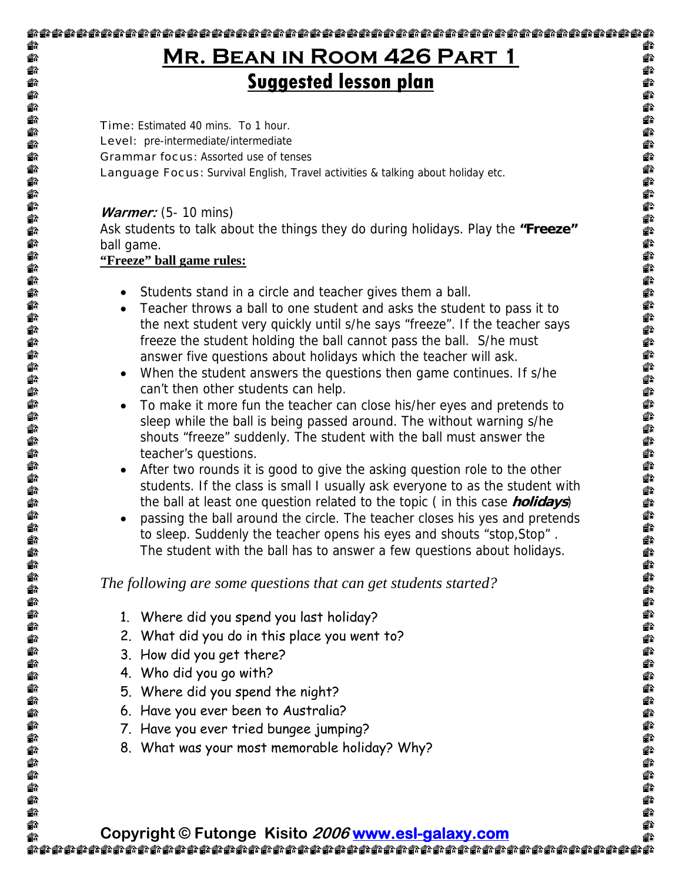## **Mr. Bean in Room 426 Part 1 Suggested lesson plan**

**Time:** Estimated 40 mins. To 1 hour. Level: pre-intermediate/intermediate Grammar focus: Assorted use of tenses **Language Focus:** Survival English, Travel activities & talking about holiday etc.

#### **Warmer:** (5- 10 mins)

命 €

€

€ €

**命命命命命命命命命命命命命命命命命命命命命命命命命命命** 

€

€

€

命命命命命

一个台

命命命命命命命命命

 $\begin{matrix} 1 \\ 0 \end{matrix}$ €

合作合作合作

俞

Ask students to talk about the things they do during holidays. Play the **"Freeze"**  ball game.

#### **"Freeze" ball game rules:**

- Students stand in a circle and teacher gives them a ball.
- Teacher throws a ball to one student and asks the student to pass it to the next student very quickly until s/he says "freeze". If the teacher says freeze the student holding the ball cannot pass the ball. S/he must answer five questions about holidays which the teacher will ask.
- When the student answers the questions then game continues. If s/he can't then other students can help.
- To make it more fun the teacher can close his/her eyes and pretends to sleep while the ball is being passed around. The without warning s/he shouts "freeze" suddenly. The student with the ball must answer the teacher's questions.
- After two rounds it is good to give the asking question role to the other students. If the class is small I usually ask everyone to as the student with the ball at least one question related to the topic ( in this case **holidays**)
- passing the ball around the circle. The teacher closes his yes and pretends to sleep. Suddenly the teacher opens his eyes and shouts "stop,Stop" . The student with the ball has to answer a few questions about holidays.

#### *The following are some questions that can get students started?*

- 1. Where did you spend you last holiday?
- 2. What did you do in this place you went to?
- 3. How did you get there?
- 4. Who did you go with?
- 5. Where did you spend the night?
- 6. Have you ever been to Australia?
- 7. Have you ever tried bungee jumping?
- 8. What was your most memorable holiday? Why?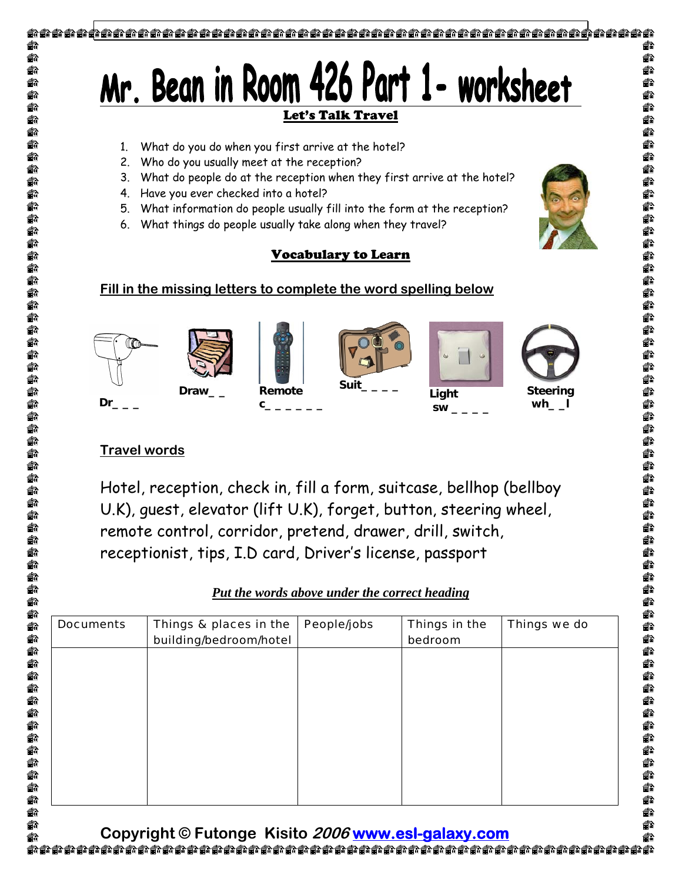

€

€

€

一台台台

€

ð

€

€

ó

6

ð

€ € Ĥ

6

đ

m

#### **Travel words**

Hotel, reception, check in, fill a form, suitcase, bellhop (bellboy U.K), guest, elevator (lift U.K), forget, button, steering wheel, remote control, corridor, pretend, drawer, drill, switch, receptionist, tips, I.D card, Driver's license, passport

|  |  |  | Put the words above under the correct heading |
|--|--|--|-----------------------------------------------|
|  |  |  |                                               |

| Things & places in the<br>building/bedroom/hotel | People/jobs | Things in the<br>bedroom | Things we do |
|--------------------------------------------------|-------------|--------------------------|--------------|
|                                                  |             |                          |              |
|                                                  |             |                          |              |
|                                                  |             |                          |              |
|                                                  |             |                          |              |
|                                                  |             |                          |              |
|                                                  |             |                          |              |

€ù **Copyright © Futonge Kisito 2006 www.esl-galaxy.com**